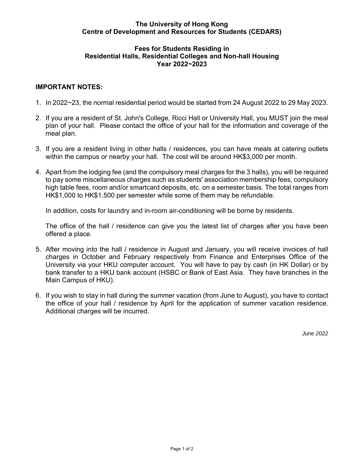## **The University of Hong Kong Centre of Development and Resources for Students (CEDARS)**

## **Residential Halls, Residential Colleges and Non-hall Housing Fees for Students Residing in Year 2022~2023**

## **IMPORTANT NOTES:**

- 1. In 2022~23, the normal residential period would be started from 24 August 2022 to 29 May 2023.
- 2. If you are a resident of St. John's College, Ricci Hall or University Hall, you MUST join the meal plan of your hall. Please contact the office of your hall for the information and coverage of the meal plan.
- 3. If you are a resident living in other halls / residences, you can have meals at catering outlets within the campus or nearby your hall. The cost will be around HK\$3,000 per month.
- 4. Apart from the lodging fee (and the compulsory meal charges for the 3 halls), you will be required high table fees, room and/or smartcard deposits, etc. on a semester basis. The total ranges from to pay some miscellaneous charges such as students' association membership fees, compulsory HK\$1,000 to HK\$1,500 per semester while some of them may be refundable.

In addition, costs for laundry and in-room air-conditioning will be borne by residents.

 The office of the hall / residence can give you the latest list of charges after you have been offered a place.

- 5. After moving into the hall / residence in August and January, you will receive invoices of hall charges in October and February respectively from Finance and Enterprises Office of the University via your HKU computer account. You will have to pay by cash (in HK Dollar) or by bank transfer to a HKU bank account (HSBC or Bank of East Asia. They have branches in the Main Campus of HKU).
- 6. If you wish to stay in hall during the summer vacation (from June to August), you have to contact the office of your hall / residence by April for the application of summer vacation residence. Additional charges will be incurred.

*June 2022*